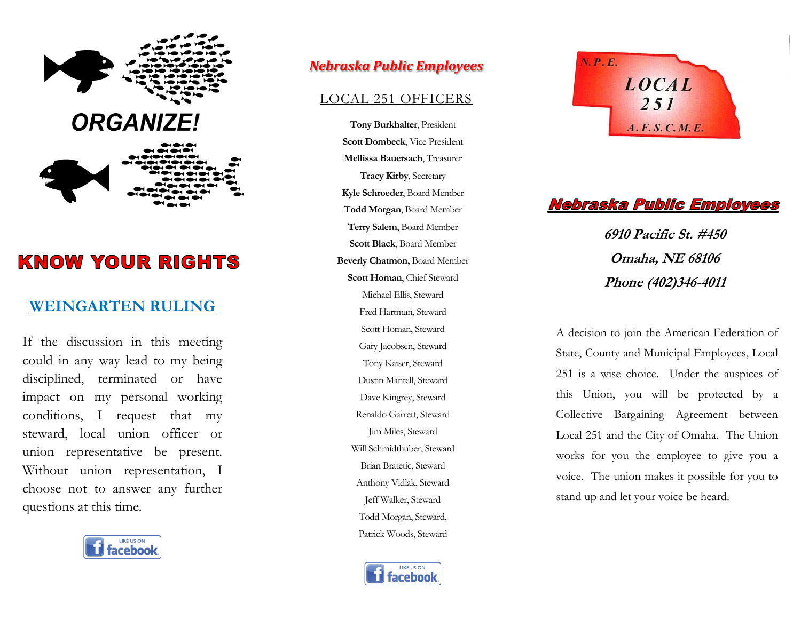

# **KNOW YOUR RIGHTS**

## **WEINGARTEN RULING**

If the discussion in this meeting could in any way lead to my being disciplined, terminated or have impact on my personal working conditions, I request that my steward, local union officer or union representative be present. Without union representation, I choose not to answer any further questions at this time.



## *Nebraska Public Employees*

#### LOCAL 251 OFFICERS

**Tony Burkhalter**, President **Scott Dombeck**, Vice President **Mellissa Bauersach**, Treasurer **Tracy Kirby**, Secretary **Kyle Schroeder**, Board Member **Todd Morgan**, Board Member **Terry Salem**, Board Member **Scott Black**, Board Member **Beverly Chatmon,** Board Member **Scott Homan**, Chief Steward Michael Ellis, Steward Fred Hartman, Steward Scott Homan, Steward Gary Jacobsen, Steward Tony Kaiser, Steward Dustin Mantell, Steward Dave Kingrey, Steward Renaldo Garrett, Steward Jim Miles, Steward Will Schmidthuber, Steward Brian Bratetic, Steward Anthony Vidlak, Steward Jeff Walker, Steward Todd Morgan, Steward, Patrick Woods, Steward  $\overline{\text{O}}$ 





Ì.

 $\overline{a}$ **6910 Pacific St. #450 Omaha, NE 68106 Phone (402)346-4011**

State, County and Municipal Employees, Local A decision to join the American Federation of 251 is a wise choice. Under the auspices of this Union, you will be protected by a Collective Bargaining Agreement between Local 251 and the City of Omaha. The Union works for you the employee to give you a voice. The union makes it possible for you to stand up and let your voice be heard.